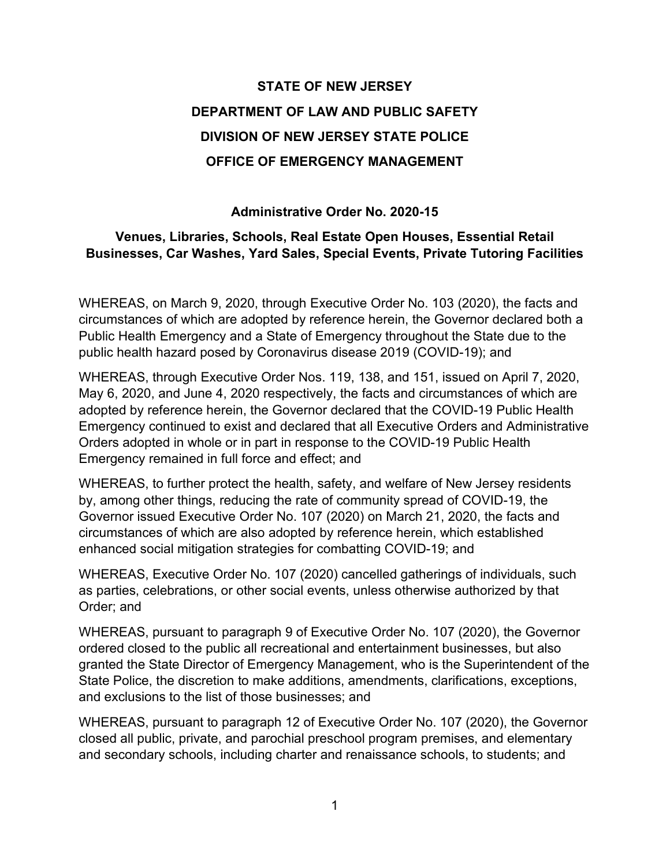# **STATE OF NEW JERSEY DEPARTMENT OF LAW AND PUBLIC SAFETY DIVISION OF NEW JERSEY STATE POLICE OFFICE OF EMERGENCY MANAGEMENT**

#### **Administrative Order No. 2020-15**

#### **Venues, Libraries, Schools, Real Estate Open Houses, Essential Retail Businesses, Car Washes, Yard Sales, Special Events, Private Tutoring Facilities**

WHEREAS, on March 9, 2020, through Executive Order No. 103 (2020), the facts and circumstances of which are adopted by reference herein, the Governor declared both a Public Health Emergency and a State of Emergency throughout the State due to the public health hazard posed by Coronavirus disease 2019 (COVID-19); and

WHEREAS, through Executive Order Nos. 119, 138, and 151, issued on April 7, 2020, May 6, 2020, and June 4, 2020 respectively, the facts and circumstances of which are adopted by reference herein, the Governor declared that the COVID-19 Public Health Emergency continued to exist and declared that all Executive Orders and Administrative Orders adopted in whole or in part in response to the COVID-19 Public Health Emergency remained in full force and effect; and

WHEREAS, to further protect the health, safety, and welfare of New Jersey residents by, among other things, reducing the rate of community spread of COVID-19, the Governor issued Executive Order No. 107 (2020) on March 21, 2020, the facts and circumstances of which are also adopted by reference herein, which established enhanced social mitigation strategies for combatting COVID-19; and

WHEREAS, Executive Order No. 107 (2020) cancelled gatherings of individuals, such as parties, celebrations, or other social events, unless otherwise authorized by that Order; and

WHEREAS, pursuant to paragraph 9 of Executive Order No. 107 (2020), the Governor ordered closed to the public all recreational and entertainment businesses, but also granted the State Director of Emergency Management, who is the Superintendent of the State Police, the discretion to make additions, amendments, clarifications, exceptions, and exclusions to the list of those businesses; and

WHEREAS, pursuant to paragraph 12 of Executive Order No. 107 (2020), the Governor closed all public, private, and parochial preschool program premises, and elementary and secondary schools, including charter and renaissance schools, to students; and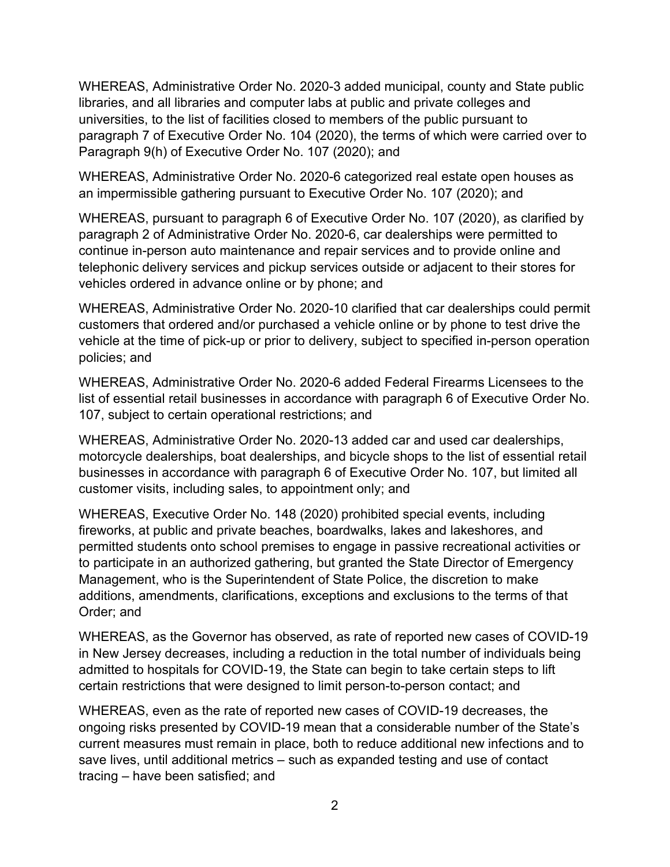WHEREAS, Administrative Order No. 2020-3 added municipal, county and State public libraries, and all libraries and computer labs at public and private colleges and universities, to the list of facilities closed to members of the public pursuant to paragraph 7 of Executive Order No. 104 (2020), the terms of which were carried over to Paragraph 9(h) of Executive Order No. 107 (2020); and

WHEREAS, Administrative Order No. 2020-6 categorized real estate open houses as an impermissible gathering pursuant to Executive Order No. 107 (2020); and

WHEREAS, pursuant to paragraph 6 of Executive Order No. 107 (2020), as clarified by paragraph 2 of Administrative Order No. 2020-6, car dealerships were permitted to continue in-person auto maintenance and repair services and to provide online and telephonic delivery services and pickup services outside or adjacent to their stores for vehicles ordered in advance online or by phone; and

WHEREAS, Administrative Order No. 2020-10 clarified that car dealerships could permit customers that ordered and/or purchased a vehicle online or by phone to test drive the vehicle at the time of pick-up or prior to delivery, subject to specified in-person operation policies; and

WHEREAS, Administrative Order No. 2020-6 added Federal Firearms Licensees to the list of essential retail businesses in accordance with paragraph 6 of Executive Order No. 107, subject to certain operational restrictions; and

WHEREAS, Administrative Order No. 2020-13 added car and used car dealerships, motorcycle dealerships, boat dealerships, and bicycle shops to the list of essential retail businesses in accordance with paragraph 6 of Executive Order No. 107, but limited all customer visits, including sales, to appointment only; and

WHEREAS, Executive Order No. 148 (2020) prohibited special events, including fireworks, at public and private beaches, boardwalks, lakes and lakeshores, and permitted students onto school premises to engage in passive recreational activities or to participate in an authorized gathering, but granted the State Director of Emergency Management, who is the Superintendent of State Police, the discretion to make additions, amendments, clarifications, exceptions and exclusions to the terms of that Order; and

WHEREAS, as the Governor has observed, as rate of reported new cases of COVID-19 in New Jersey decreases, including a reduction in the total number of individuals being admitted to hospitals for COVID-19, the State can begin to take certain steps to lift certain restrictions that were designed to limit person-to-person contact; and

WHEREAS, even as the rate of reported new cases of COVID-19 decreases, the ongoing risks presented by COVID-19 mean that a considerable number of the State's current measures must remain in place, both to reduce additional new infections and to save lives, until additional metrics – such as expanded testing and use of contact tracing – have been satisfied; and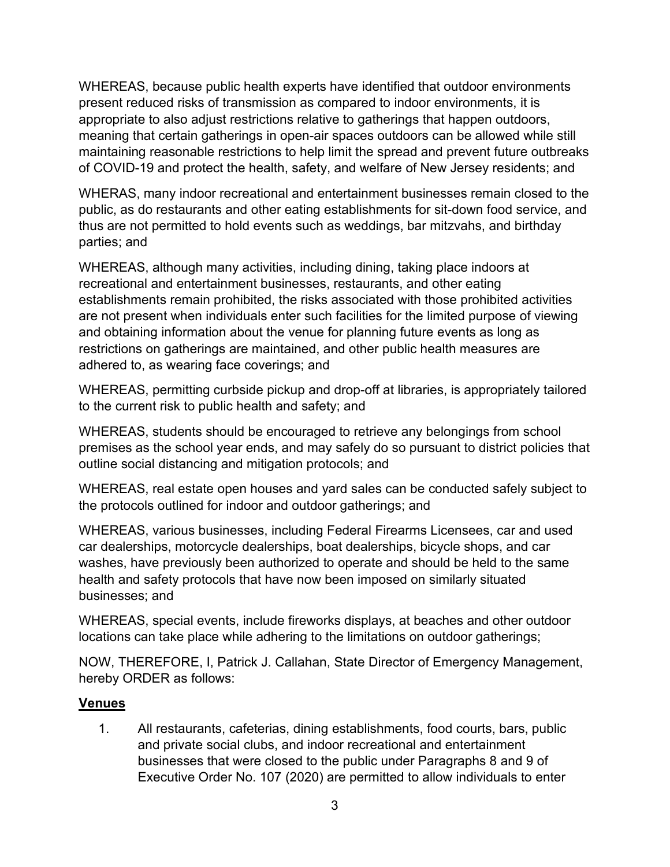WHEREAS, because public health experts have identified that outdoor environments present reduced risks of transmission as compared to indoor environments, it is appropriate to also adjust restrictions relative to gatherings that happen outdoors, meaning that certain gatherings in open-air spaces outdoors can be allowed while still maintaining reasonable restrictions to help limit the spread and prevent future outbreaks of COVID-19 and protect the health, safety, and welfare of New Jersey residents; and

WHERAS, many indoor recreational and entertainment businesses remain closed to the public, as do restaurants and other eating establishments for sit-down food service, and thus are not permitted to hold events such as weddings, bar mitzvahs, and birthday parties; and

WHEREAS, although many activities, including dining, taking place indoors at recreational and entertainment businesses, restaurants, and other eating establishments remain prohibited, the risks associated with those prohibited activities are not present when individuals enter such facilities for the limited purpose of viewing and obtaining information about the venue for planning future events as long as restrictions on gatherings are maintained, and other public health measures are adhered to, as wearing face coverings; and

WHEREAS, permitting curbside pickup and drop-off at libraries, is appropriately tailored to the current risk to public health and safety; and

WHEREAS, students should be encouraged to retrieve any belongings from school premises as the school year ends, and may safely do so pursuant to district policies that outline social distancing and mitigation protocols; and

WHEREAS, real estate open houses and yard sales can be conducted safely subject to the protocols outlined for indoor and outdoor gatherings; and

WHEREAS, various businesses, including Federal Firearms Licensees, car and used car dealerships, motorcycle dealerships, boat dealerships, bicycle shops, and car washes, have previously been authorized to operate and should be held to the same health and safety protocols that have now been imposed on similarly situated businesses; and

WHEREAS, special events, include fireworks displays, at beaches and other outdoor locations can take place while adhering to the limitations on outdoor gatherings;

NOW, THEREFORE, I, Patrick J. Callahan, State Director of Emergency Management, hereby ORDER as follows:

## **Venues**

1. All restaurants, cafeterias, dining establishments, food courts, bars, public and private social clubs, and indoor recreational and entertainment businesses that were closed to the public under Paragraphs 8 and 9 of Executive Order No. 107 (2020) are permitted to allow individuals to enter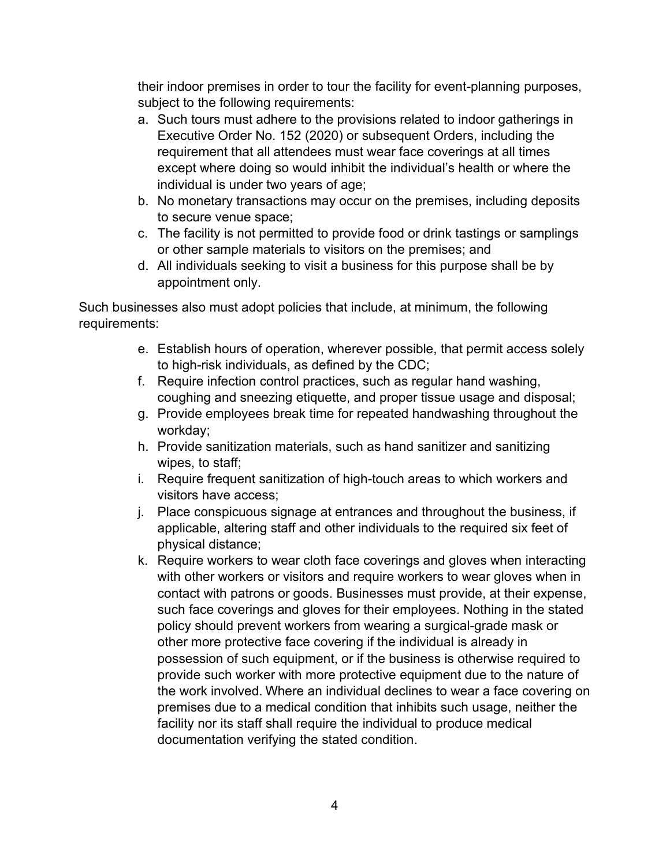their indoor premises in order to tour the facility for event-planning purposes, subject to the following requirements:

- a. Such tours must adhere to the provisions related to indoor gatherings in Executive Order No. 152 (2020) or subsequent Orders, including the requirement that all attendees must wear face coverings at all times except where doing so would inhibit the individual's health or where the individual is under two years of age;
- b. No monetary transactions may occur on the premises, including deposits to secure venue space;
- c. The facility is not permitted to provide food or drink tastings or samplings or other sample materials to visitors on the premises; and
- d. All individuals seeking to visit a business for this purpose shall be by appointment only.

Such businesses also must adopt policies that include, at minimum, the following requirements:

- e. Establish hours of operation, wherever possible, that permit access solely to high-risk individuals, as defined by the CDC;
- f. Require infection control practices, such as regular hand washing, coughing and sneezing etiquette, and proper tissue usage and disposal;
- g. Provide employees break time for repeated handwashing throughout the workday;
- h. Provide sanitization materials, such as hand sanitizer and sanitizing wipes, to staff;
- i. Require frequent sanitization of high-touch areas to which workers and visitors have access;
- j. Place conspicuous signage at entrances and throughout the business, if applicable, altering staff and other individuals to the required six feet of physical distance;
- k. Require workers to wear cloth face coverings and gloves when interacting with other workers or visitors and require workers to wear gloves when in contact with patrons or goods. Businesses must provide, at their expense, such face coverings and gloves for their employees. Nothing in the stated policy should prevent workers from wearing a surgical-grade mask or other more protective face covering if the individual is already in possession of such equipment, or if the business is otherwise required to provide such worker with more protective equipment due to the nature of the work involved. Where an individual declines to wear a face covering on premises due to a medical condition that inhibits such usage, neither the facility nor its staff shall require the individual to produce medical documentation verifying the stated condition.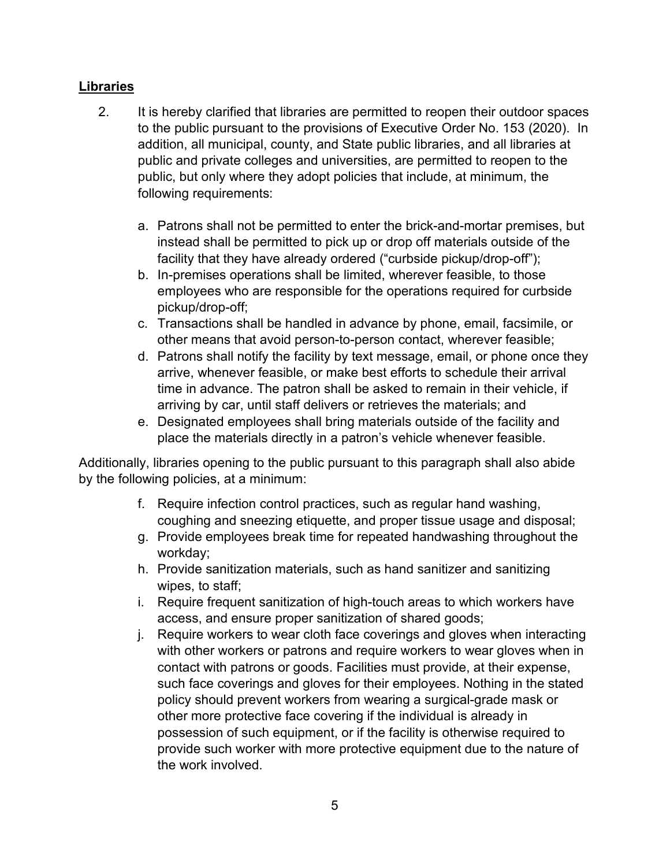# **Libraries**

- 2. It is hereby clarified that libraries are permitted to reopen their outdoor spaces to the public pursuant to the provisions of Executive Order No. 153 (2020). In addition, all municipal, county, and State public libraries, and all libraries at public and private colleges and universities, are permitted to reopen to the public, but only where they adopt policies that include, at minimum, the following requirements:
	- a. Patrons shall not be permitted to enter the brick-and-mortar premises, but instead shall be permitted to pick up or drop off materials outside of the facility that they have already ordered ("curbside pickup/drop-off");
	- b. In-premises operations shall be limited, wherever feasible, to those employees who are responsible for the operations required for curbside pickup/drop-off;
	- c. Transactions shall be handled in advance by phone, email, facsimile, or other means that avoid person-to-person contact, wherever feasible;
	- d. Patrons shall notify the facility by text message, email, or phone once they arrive, whenever feasible, or make best efforts to schedule their arrival time in advance. The patron shall be asked to remain in their vehicle, if arriving by car, until staff delivers or retrieves the materials; and
	- e. Designated employees shall bring materials outside of the facility and place the materials directly in a patron's vehicle whenever feasible.

Additionally, libraries opening to the public pursuant to this paragraph shall also abide by the following policies, at a minimum:

- f. Require infection control practices, such as regular hand washing, coughing and sneezing etiquette, and proper tissue usage and disposal;
- g. Provide employees break time for repeated handwashing throughout the workday;
- h. Provide sanitization materials, such as hand sanitizer and sanitizing wipes, to staff;
- i. Require frequent sanitization of high-touch areas to which workers have access, and ensure proper sanitization of shared goods;
- j. Require workers to wear cloth face coverings and gloves when interacting with other workers or patrons and require workers to wear gloves when in contact with patrons or goods. Facilities must provide, at their expense, such face coverings and gloves for their employees. Nothing in the stated policy should prevent workers from wearing a surgical-grade mask or other more protective face covering if the individual is already in possession of such equipment, or if the facility is otherwise required to provide such worker with more protective equipment due to the nature of the work involved.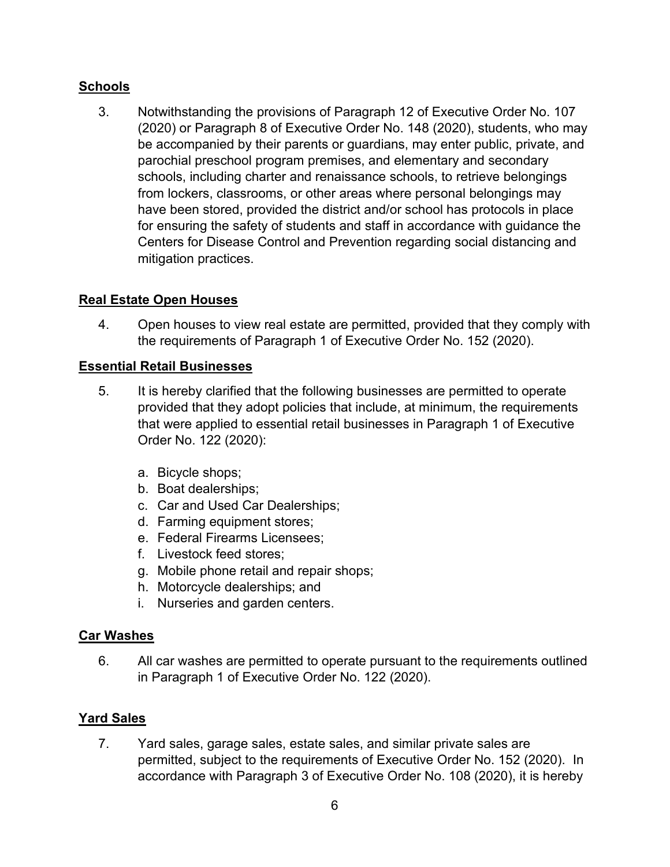# **Schools**

3. Notwithstanding the provisions of Paragraph 12 of Executive Order No. 107 (2020) or Paragraph 8 of Executive Order No. 148 (2020), students, who may be accompanied by their parents or guardians, may enter public, private, and parochial preschool program premises, and elementary and secondary schools, including charter and renaissance schools, to retrieve belongings from lockers, classrooms, or other areas where personal belongings may have been stored, provided the district and/or school has protocols in place for ensuring the safety of students and staff in accordance with guidance the Centers for Disease Control and Prevention regarding social distancing and mitigation practices.

# **Real Estate Open Houses**

4. Open houses to view real estate are permitted, provided that they comply with the requirements of Paragraph 1 of Executive Order No. 152 (2020).

# **Essential Retail Businesses**

- 5. It is hereby clarified that the following businesses are permitted to operate provided that they adopt policies that include, at minimum, the requirements that were applied to essential retail businesses in Paragraph 1 of Executive Order No. 122 (2020):
	- a. Bicycle shops;
	- b. Boat dealerships;
	- c. Car and Used Car Dealerships;
	- d. Farming equipment stores;
	- e. Federal Firearms Licensees;
	- f. Livestock feed stores;
	- g. Mobile phone retail and repair shops;
	- h. Motorcycle dealerships; and
	- i. Nurseries and garden centers.

## **Car Washes**

6. All car washes are permitted to operate pursuant to the requirements outlined in Paragraph 1 of Executive Order No. 122 (2020).

# **Yard Sales**

7. Yard sales, garage sales, estate sales, and similar private sales are permitted, subject to the requirements of Executive Order No. 152 (2020). In accordance with Paragraph 3 of Executive Order No. 108 (2020), it is hereby